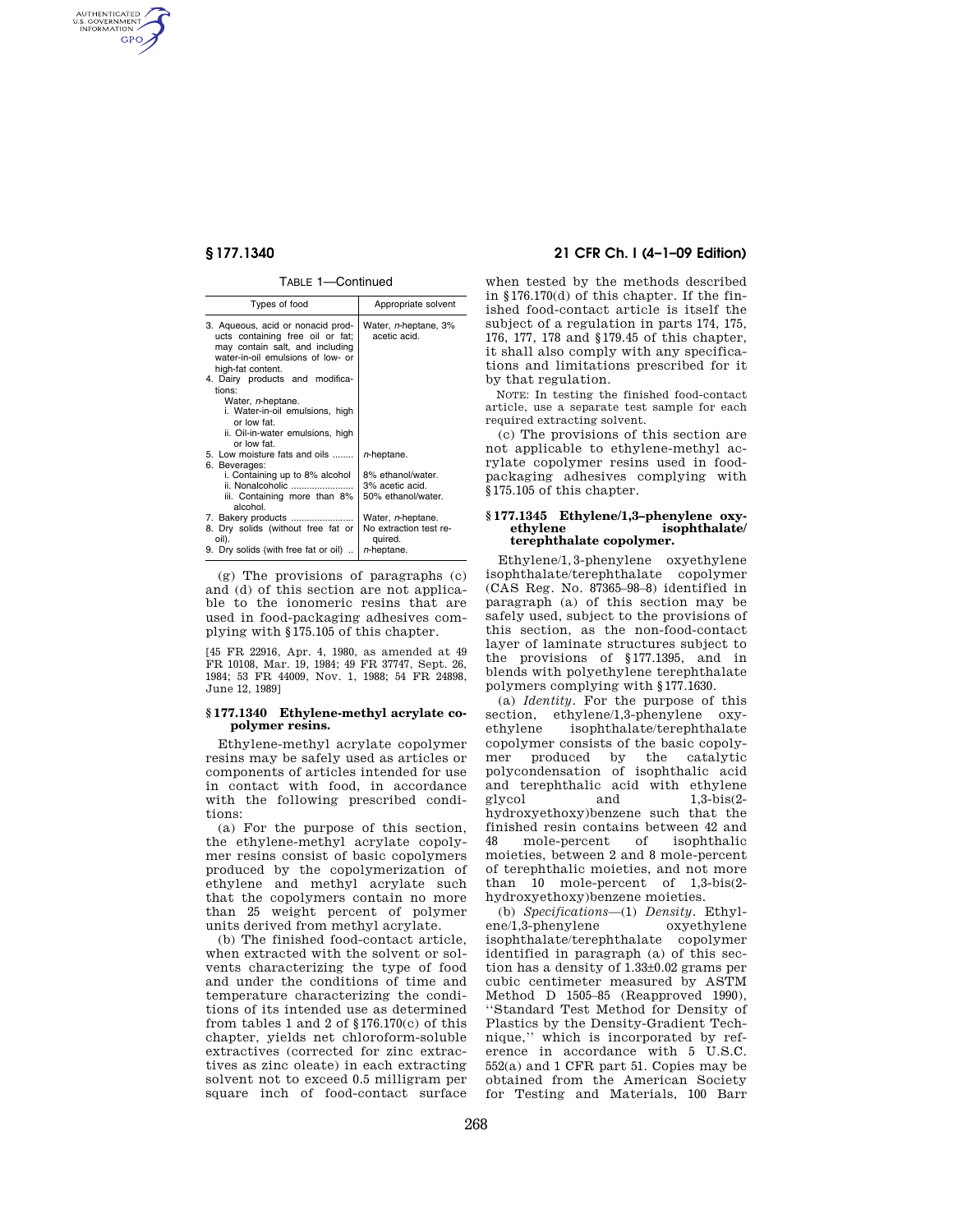AUTHENTICATED<br>U.S. GOVERNMENT<br>INFORMATION **GPO** 

#### TABLE 1—Continued

| Types of food                                                                                                                                                      | Appropriate solvent                          |
|--------------------------------------------------------------------------------------------------------------------------------------------------------------------|----------------------------------------------|
| 3. Aqueous, acid or nonacid prod-<br>ucts containing free oil or fat;<br>may contain salt, and including<br>water-in-oil emulsions of low- or<br>high-fat content. | Water, <i>n</i> -heptane, 3%<br>acetic acid. |
| 4. Dairy products and modifica-<br>tions:                                                                                                                          |                                              |
| Water, <i>n</i> -heptane.                                                                                                                                          |                                              |
| i. Water-in-oil emulsions, high                                                                                                                                    |                                              |
| or low fat                                                                                                                                                         |                                              |
| ii. Oil-in-water emulsions, high<br>or low fat                                                                                                                     |                                              |
| 5. Low moisture fats and oils                                                                                                                                      | n-heptane.                                   |
| 6. Beverages:                                                                                                                                                      |                                              |
| i. Containing up to 8% alcohol                                                                                                                                     | 8% ethanol/water.                            |
| ii. Nonalcoholic                                                                                                                                                   | 3% acetic acid.                              |
| iii. Containing more than 8%<br>alcohol.                                                                                                                           | 50% ethanol/water.                           |
|                                                                                                                                                                    | Water, <i>n</i> -heptane.                    |
| 8. Dry solids (without free fat or                                                                                                                                 | No extraction test re-                       |
| oil).                                                                                                                                                              | quired.                                      |
| 9. Dry solids (with free fat or oil)                                                                                                                               | n-heptane.                                   |

(g) The provisions of paragraphs (c) and (d) of this section are not applicable to the ionomeric resins that are used in food-packaging adhesives complying with §175.105 of this chapter.

[45 FR 22916, Apr. 4, 1980, as amended at 49 FR 10108, Mar. 19, 1984; 49 FR 37747, Sept. 26, 1984; 53 FR 44009, Nov. 1, 1988; 54 FR 24898, June 12, 1989]

### **§ 177.1340 Ethylene-methyl acrylate copolymer resins.**

Ethylene-methyl acrylate copolymer resins may be safely used as articles or components of articles intended for use in contact with food, in accordance with the following prescribed conditions:

(a) For the purpose of this section, the ethylene-methyl acrylate copolymer resins consist of basic copolymers produced by the copolymerization of ethylene and methyl acrylate such that the copolymers contain no more than 25 weight percent of polymer units derived from methyl acrylate.

(b) The finished food-contact article, when extracted with the solvent or solvents characterizing the type of food and under the conditions of time and temperature characterizing the conditions of its intended use as determined from tables 1 and 2 of §176.170(c) of this chapter, yields net chloroform-soluble extractives (corrected for zinc extractives as zinc oleate) in each extracting solvent not to exceed 0.5 milligram per square inch of food-contact surface

# **§ 177.1340 21 CFR Ch. I (4–1–09 Edition)**

when tested by the methods described in §176.170(d) of this chapter. If the finished food-contact article is itself the subject of a regulation in parts 174, 175, 176, 177, 178 and §179.45 of this chapter, it shall also comply with any specifications and limitations prescribed for it by that regulation.

NOTE: In testing the finished food-contact article, use a separate test sample for each required extracting solvent.

(c) The provisions of this section are not applicable to ethylene-methyl acrylate copolymer resins used in foodpackaging adhesives complying with §175.105 of this chapter.

## **§ 177.1345 Ethylene/1,3–phenylene oxy** $isophthalate/$ **terephthalate copolymer.**

Ethylene/1,3-phenylene oxyethylene isophthalate/terephthalate copolymer (CAS Reg. No. 87365–98–8) identified in paragraph (a) of this section may be safely used, subject to the provisions of this section, as the non-food-contact layer of laminate structures subject to the provisions of §177.1395, and in blends with polyethylene terephthalate polymers complying with §177.1630.

(a) *Identity.* For the purpose of this section, ethylene/1,3-phenylene oxyethylene isophthalate/terephthalate copolymer consists of the basic copolymer produced by the catalytic polycondensation of isophthalic acid and terephthalic acid with ethylene glycol and 1,3-bis(2 hydroxyethoxy)benzene such that the finished resin contains between 42 and<br>48 mole-percent of isophthalic 48 mole-percent of isophthalic moieties, between 2 and 8 mole-percent of terephthalic moieties, and not more than 10 mole-percent of 1,3-bis(2 hydroxyethoxy)benzene moieties.

(b) *Specifications*—(1) *Density.* Ethylene/1,3-phenylene oxyethylene isophthalate/terephthalate copolymer identified in paragraph (a) of this section has a density of 1.33±0.02 grams per cubic centimeter measured by ASTM Method D 1505–85 (Reapproved 1990), ''Standard Test Method for Density of Plastics by the Density-Gradient Technique,'' which is incorporated by reference in accordance with 5 U.S.C. 552(a) and 1 CFR part 51. Copies may be obtained from the American Society for Testing and Materials, 100 Barr